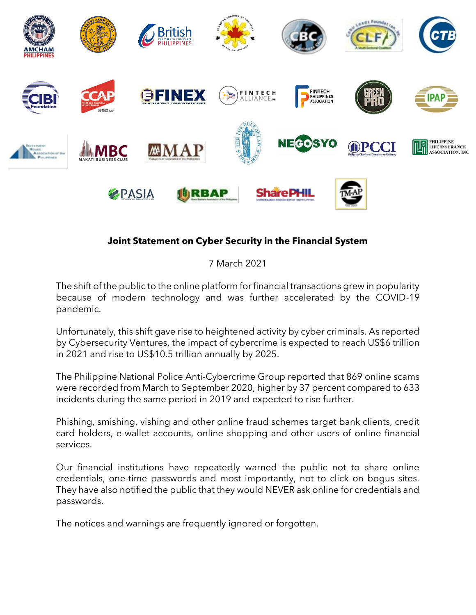

## **Joint Statement on Cyber Security in the Financial System**

7 March 2021

The shift of the public to the online platform for financial transactions grew in popularity because of modern technology and was further accelerated by the COVID-19 pandemic.

Unfortunately, this shift gave rise to heightened activity by cyber criminals. As reported by Cybersecurity Ventures, the impact of cybercrime is expected to reach US\$6 trillion in 2021 and rise to US\$10.5 trillion annually by 2025.

The Philippine National Police Anti-Cybercrime Group reported that 869 online scams were recorded from March to September 2020, higher by 37 percent compared to 633 incidents during the same period in 2019 and expected to rise further.

Phishing, smishing, vishing and other online fraud schemes target bank clients, credit card holders, e-wallet accounts, online shopping and other users of online financial services.

Our financial institutions have repeatedly warned the public not to share online credentials, one-time passwords and most importantly, not to click on bogus sites. They have also notified the public that they would NEVER ask online for credentials and passwords.

The notices and warnings are frequently ignored or forgotten.